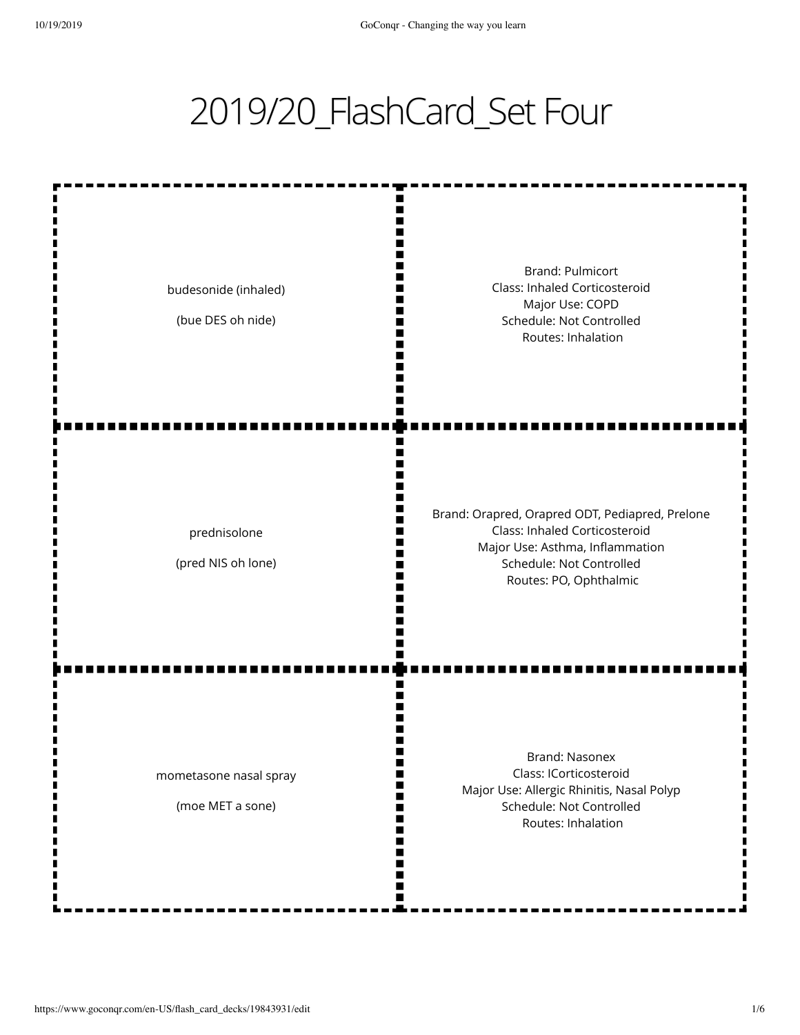## 2019/20\_FlashCard\_Set Four

ш m Ш I٢ Brand: Pulmicort Class: Inhaled Corticosteroid budesonide (inhaled) I٢ Major Use: COPD Ш (bue DES oh nide) Schedule: Not Controlled Ш I٢ Routes: Inhalation m Brand: Orapred, Orapred ODT, Pediapred, Prelone Class: Inhaled Corticosteroid prednisolone Major Use: Asthma, Inflammation (pred NIS oh lone) Schedule: Not Controlled Routes: PO, Ophthalmic ш Brand: Nasonex Class: ICorticosteroid mometasone nasal spray

> W m M

> > M

(moe MET a sone)

Major Use: Allergic Rhinitis, Nasal Polyp Schedule: Not Controlled Routes: Inhalation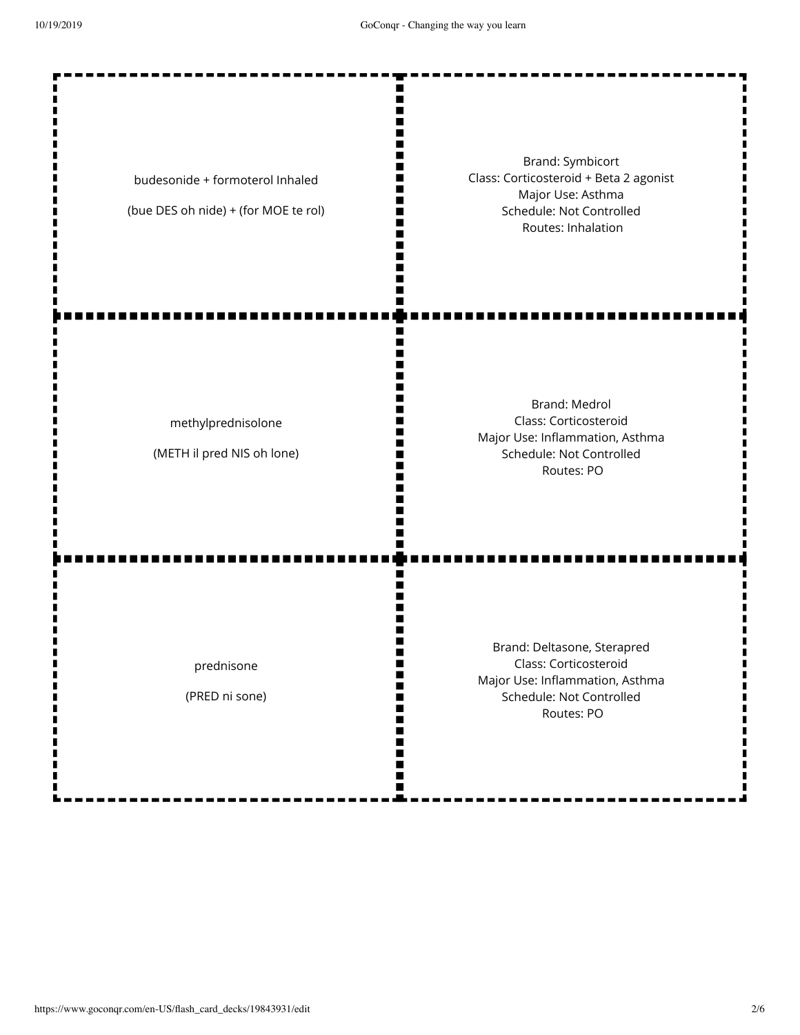Ш II. п II. m

W I٢

Ш Ш ш

ш N

Ш

n

П m H П m

п Ш

budesonide + formoterol Inhaled

(bue DES oh nide) + (for MOE te rol)

Brand: Symbicort Class: Corticosteroid + Beta 2 agonist Major Use: Asthma Schedule: Not Controlled Routes: Inhalation

methylprednisolone

(METH il pred NIS oh lone)

Brand: Medrol Class: Corticosteroid Major Use: Inflammation, Asthma Schedule: Not Controlled Routes: PO

prednisone

(PRED ni sone)

Brand: Deltasone, Sterapred Class: Corticosteroid Major Use: Inflammation, Asthma Schedule: Not Controlled Routes: PO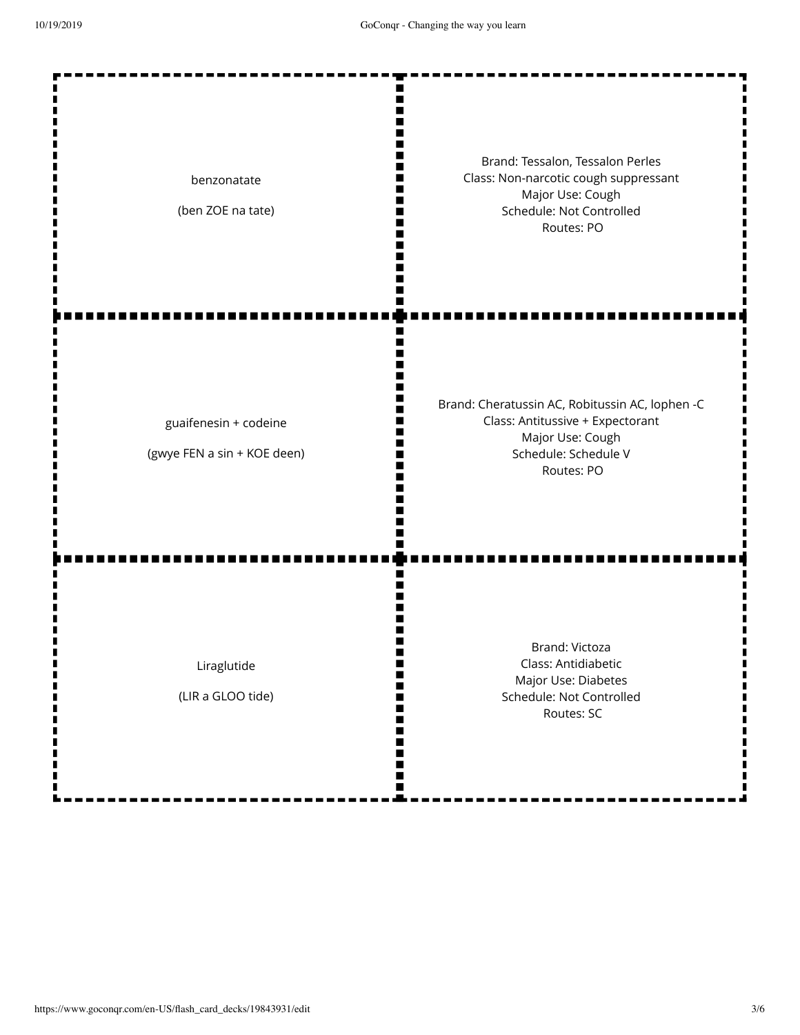I  $\blacksquare$ 

| benzonatate<br>(ben ZOE na tate)                     | Brand: Tessalon, Tessalon Perles<br>Class: Non-narcotic cough suppressant<br>Major Use: Cough<br>Schedule: Not Controlled<br>Routes: PO       |
|------------------------------------------------------|-----------------------------------------------------------------------------------------------------------------------------------------------|
| guaifenesin + codeine<br>(gwye FEN a sin + KOE deen) | Brand: Cheratussin AC, Robitussin AC, lophen -C<br>Class: Antitussive + Expectorant<br>Major Use: Cough<br>Schedule: Schedule V<br>Routes: PO |
| Liraglutide<br>(LIR a GLOO tide)                     | <b>Brand: Victoza</b><br>Class: Antidiabetic<br>Major Use: Diabetes<br>Schedule: Not Controlled<br>Routes: SC                                 |

 $\frac{1}{1}$ 

п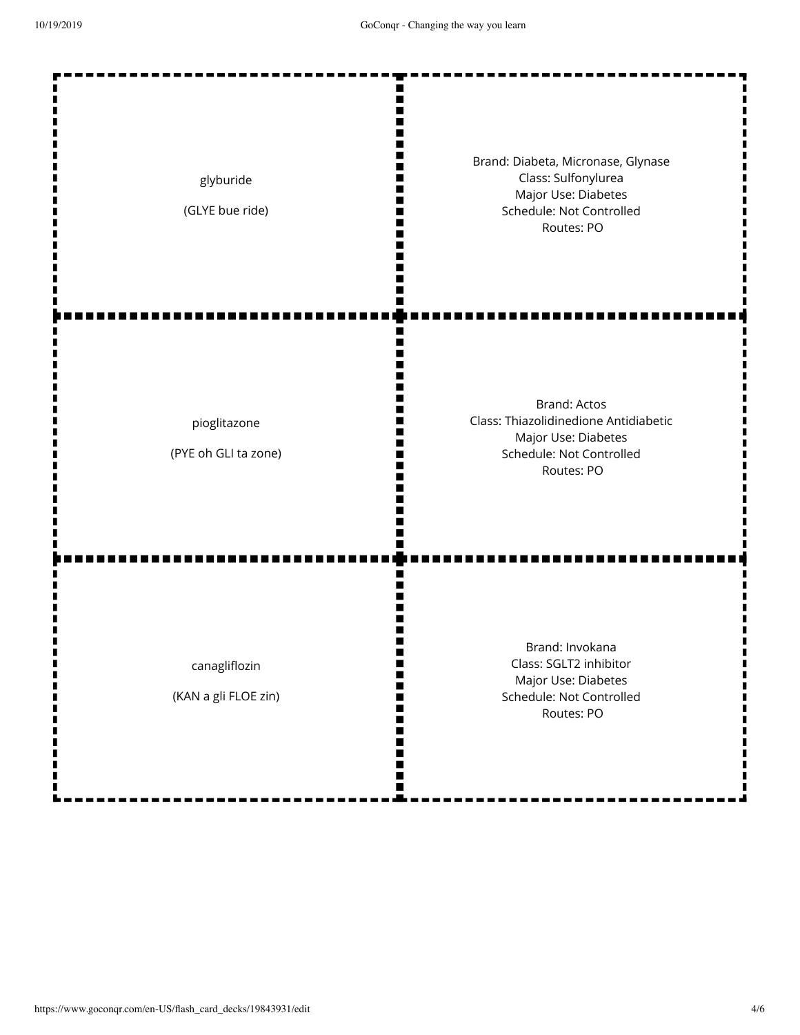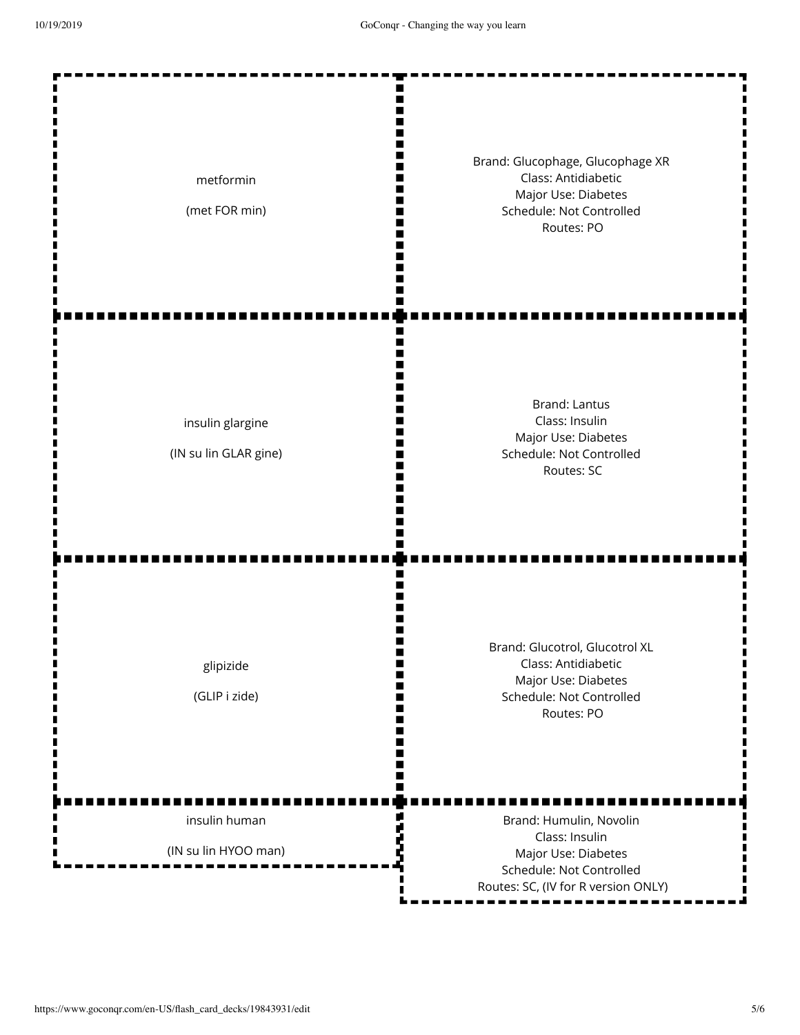